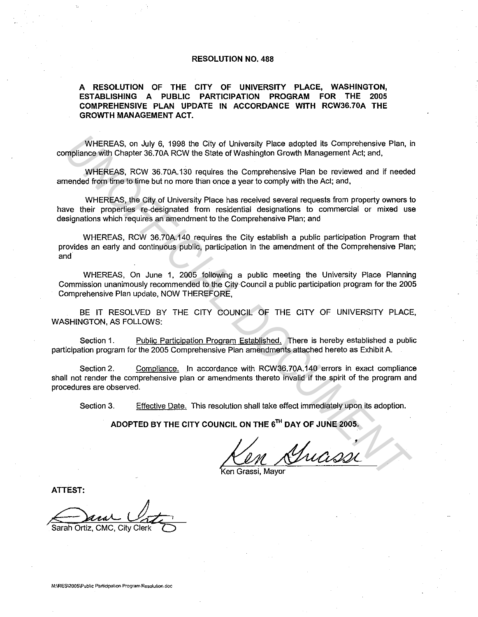## **RESOLUTION NO. 488**

**A RESOLUTION OF THE CITY OF UNIVERSITY PLACE, WASHINGTON, ESTABLISHING A PUBLIC PARTICIPATION PROGRAM FOR THE 2005 COMPREHENSIVE PLAN UPDATE IN ACCORDANCE WITH RCW36.70A THE GROWTH MANAGEMENT ACT.** 

WHEREAS, on July 6, 1998 the City of University Place adopted its Comprehensive Plan, in compliance with Chapter 36.70A RCW the State of Washington Growth Management Act; and,

WHEREAS, RCW 36.70A.130 requires the Comprehensive Plan be reviewed and if needed amended from time to time but no more than once a year to comply with the Act; and,

WHEREAS, the City of University Place has received several requests from property owners to have their properties re-designated from residential designations to commercial or mixed use designations which requires an amendment to the Comprehensive Plan; and

WHEREAS, RCW 36.70A.140 requires the City establish a public participation Program that provides an early and continuous public, participation in the amendment of the Comprehensive Plan; and WHEREAS, on July 6, 1998 the City of University Place adopted its Comprehensive Plan, infiliance with Chapter 36.70A RCW the Site of Washington Growth Management Act; and,<br>
WHEREAS, RCW 36.70A RCW the Site of Washington Gr

WHEREAS, On June 1, 2005 following a public meeting the University Place Planning Commission unanimously recommended to the City Council a public participation program for the 2005 Comprehensive Plan update, NOW THEREFORE,

BE IT RESOLVED BY THE CITY COUNCIL OF THE CITY OF UNIVERSITY PLACE, WASHINGTON, AS FOLLOWS:

Section 1. Public Participation Program Established. There is hereby established a public participation program for the 2005 Comprehensive Plan amendments attached hereto as Exhibit A.

Section 2. Compliance. In accordance with RCW36.70A.140 errors in exact compliance shall not render the comprehensive plan or amendments thereto invalid if the spirit of the program and procedures are observed.

Section 3. Effective Date. This resolution shall take effect immediately upon its adoption.

**ADOPTED BY THE CITY COUNCIL ON THE GTH DAY OF JUNE 2005.** 

Ken Auassi

Ken Grassi. Mavor

**ATTEST:** 

Sarah Ortiz, CMG, City Clerk